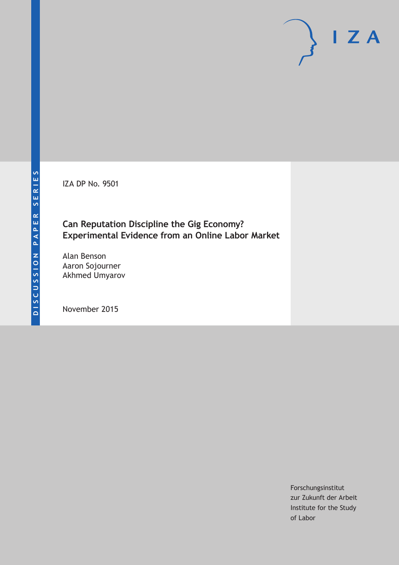IZA DP No. 9501

## **Can Reputation Discipline the Gig Economy? Experimental Evidence from an Online Labor Market**

Alan Benson Aaron Sojourner Akhmed Umyarov

November 2015

Forschungsinstitut zur Zukunft der Arbeit Institute for the Study of Labor

 $I Z A$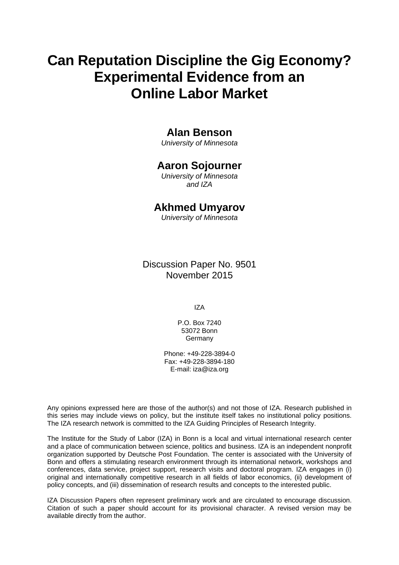# **Can Reputation Discipline the Gig Economy? Experimental Evidence from an Online Labor Market**

## **Alan Benson**

*University of Minnesota* 

## **Aaron Sojourner**

*University of Minnesota and IZA* 

### **Akhmed Umyarov**

*University of Minnesota*

Discussion Paper No. 9501 November 2015

IZA

P.O. Box 7240 53072 Bonn Germany

Phone: +49-228-3894-0 Fax: +49-228-3894-180 E-mail: iza@iza.org

Any opinions expressed here are those of the author(s) and not those of IZA. Research published in this series may include views on policy, but the institute itself takes no institutional policy positions. The IZA research network is committed to the IZA Guiding Principles of Research Integrity.

The Institute for the Study of Labor (IZA) in Bonn is a local and virtual international research center and a place of communication between science, politics and business. IZA is an independent nonprofit organization supported by Deutsche Post Foundation. The center is associated with the University of Bonn and offers a stimulating research environment through its international network, workshops and conferences, data service, project support, research visits and doctoral program. IZA engages in (i) original and internationally competitive research in all fields of labor economics, (ii) development of policy concepts, and (iii) dissemination of research results and concepts to the interested public.

IZA Discussion Papers often represent preliminary work and are circulated to encourage discussion. Citation of such a paper should account for its provisional character. A revised version may be available directly from the author.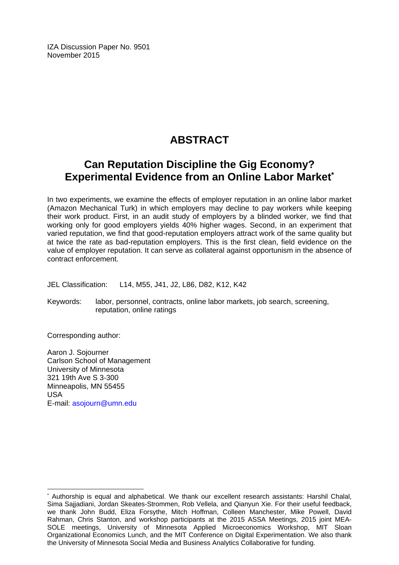IZA Discussion Paper No. 9501 November 2015

## **ABSTRACT**

## **Can Reputation Discipline the Gig Economy? Experimental Evidence from an Online Labor Market\***

In two experiments, we examine the effects of employer reputation in an online labor market (Amazon Mechanical Turk) in which employers may decline to pay workers while keeping their work product. First, in an audit study of employers by a blinded worker, we find that working only for good employers yields 40% higher wages. Second, in an experiment that varied reputation, we find that good-reputation employers attract work of the same quality but at twice the rate as bad-reputation employers. This is the first clean, field evidence on the value of employer reputation. It can serve as collateral against opportunism in the absence of contract enforcement.

JEL Classification: L14, M55, J41, J2, L86, D82, K12, K42

Keywords: labor, personnel, contracts, online labor markets, job search, screening, reputation, online ratings

Corresponding author:

 $\overline{\phantom{a}}$ 

Aaron J. Sojourner Carlson School of Management University of Minnesota 321 19th Ave S 3-300 Minneapolis, MN 55455 USA E-mail: asojourn@umn.edu

<sup>\*</sup> Authorship is equal and alphabetical. We thank our excellent research assistants: Harshil Chalal, Sima Sajjadiani, Jordan Skeates-Strommen, Rob Vellela, and Qianyun Xie. For their useful feedback, we thank John Budd, Eliza Forsythe, Mitch Hoffman, Colleen Manchester, Mike Powell, David Rahman, Chris Stanton, and workshop participants at the 2015 ASSA Meetings, 2015 joint MEA-SOLE meetings, University of Minnesota Applied Microeconomics Workshop, MIT Sloan Organizational Economics Lunch, and the MIT Conference on Digital Experimentation. We also thank the University of Minnesota Social Media and Business Analytics Collaborative for funding.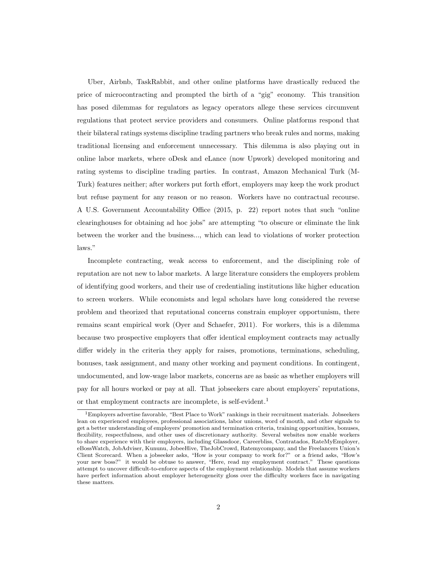Uber, Airbnb, TaskRabbit, and other online platforms have drastically reduced the price of microcontracting and prompted the birth of a "gig" economy. This transition has posed dilemmas for regulators as legacy operators allege these services circumvent regulations that protect service providers and consumers. Online platforms respond that their bilateral ratings systems discipline trading partners who break rules and norms, making traditional licensing and enforcement unnecessary. This dilemma is also playing out in online labor markets, where oDesk and eLance (now Upwork) developed monitoring and rating systems to discipline trading parties. In contrast, Amazon Mechanical Turk (M-Turk) features neither; after workers put forth effort, employers may keep the work product but refuse payment for any reason or no reason. Workers have no contractual recourse. A U.S. Government Accountability Office (2015, p. 22) report notes that such "online clearinghouses for obtaining ad hoc jobs" are attempting "to obscure or eliminate the link between the worker and the business..., which can lead to violations of worker protection laws."

Incomplete contracting, weak access to enforcement, and the disciplining role of reputation are not new to labor markets. A large literature considers the employers problem of identifying good workers, and their use of credentialing institutions like higher education to screen workers. While economists and legal scholars have long considered the reverse problem and theorized that reputational concerns constrain employer opportunism, there remains scant empirical work (Oyer and Schaefer, 2011). For workers, this is a dilemma because two prospective employers that offer identical employment contracts may actually differ widely in the criteria they apply for raises, promotions, terminations, scheduling, bonuses, task assignment, and many other working and payment conditions. In contingent, undocumented, and low-wage labor markets, concerns are as basic as whether employers will pay for all hours worked or pay at all. That jobseekers care about employers' reputations, or that employment contracts are incomplete, is self-evident.<sup>1</sup>

 $1$ Employers advertise favorable, "Best Place to Work" rankings in their recruitment materials. Jobseekers lean on experienced employees, professional associations, labor unions, word of mouth, and other signals to get a better understanding of employers' promotion and termination criteria, training opportunities, bonuses, flexibility, respectfulness, and other uses of discretionary authority. Several websites now enable workers to share experience with their employers, including Glassdoor, Careerbliss, Contratados, RateMyEmployer, eBossWatch, JobAdviser, Kununu, JobeeHive, TheJobCrowd, Ratemycompany, and the Freelancers Union's Client Scorecard. When a jobseeker asks, "How is your company to work for?" or a friend asks, "How's your new boss?" it would be obtuse to answer, "Here, read my employment contract." These questions attempt to uncover difficult-to-enforce aspects of the employment relationship. Models that assume workers have perfect information about employer heterogeneity gloss over the difficulty workers face in navigating these matters.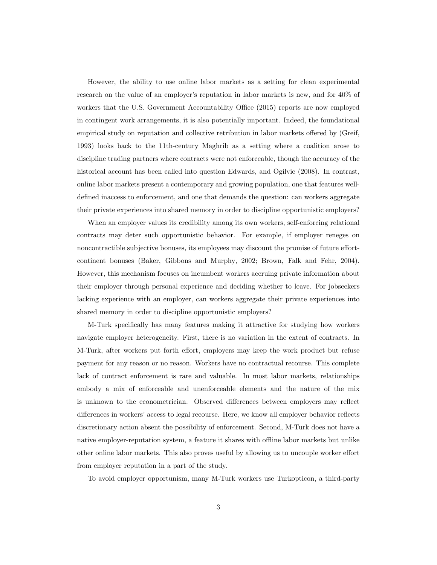However, the ability to use online labor markets as a setting for clean experimental research on the value of an employer's reputation in labor markets is new, and for 40% of workers that the U.S. Government Accountability Office (2015) reports are now employed in contingent work arrangements, it is also potentially important. Indeed, the foundational empirical study on reputation and collective retribution in labor markets offered by (Greif, 1993) looks back to the 11th-century Maghrib as a setting where a coalition arose to discipline trading partners where contracts were not enforceable, though the accuracy of the historical account has been called into question Edwards, and Ogilvie (2008). In contrast, online labor markets present a contemporary and growing population, one that features welldefined inaccess to enforcement, and one that demands the question: can workers aggregate their private experiences into shared memory in order to discipline opportunistic employers?

When an employer values its credibility among its own workers, self-enforcing relational contracts may deter such opportunistic behavior. For example, if employer reneges on noncontractible subjective bonuses, its employees may discount the promise of future effortcontinent bonuses (Baker, Gibbons and Murphy, 2002; Brown, Falk and Fehr, 2004). However, this mechanism focuses on incumbent workers accruing private information about their employer through personal experience and deciding whether to leave. For jobseekers lacking experience with an employer, can workers aggregate their private experiences into shared memory in order to discipline opportunistic employers?

M-Turk specifically has many features making it attractive for studying how workers navigate employer heterogeneity. First, there is no variation in the extent of contracts. In M-Turk, after workers put forth effort, employers may keep the work product but refuse payment for any reason or no reason. Workers have no contractual recourse. This complete lack of contract enforcement is rare and valuable. In most labor markets, relationships embody a mix of enforceable and unenforceable elements and the nature of the mix is unknown to the econometrician. Observed differences between employers may reflect differences in workers' access to legal recourse. Here, we know all employer behavior reflects discretionary action absent the possibility of enforcement. Second, M-Turk does not have a native employer-reputation system, a feature it shares with offline labor markets but unlike other online labor markets. This also proves useful by allowing us to uncouple worker effort from employer reputation in a part of the study.

To avoid employer opportunism, many M-Turk workers use Turkopticon, a third-party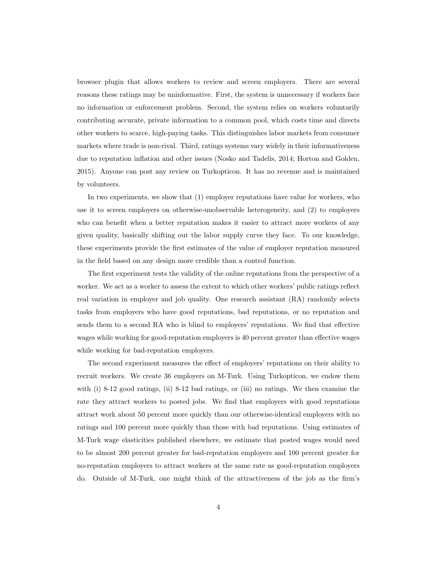browser plugin that allows workers to review and screen employers. There are several reasons these ratings may be uninformative. First, the system is unnecessary if workers face no information or enforcement problem. Second, the system relies on workers voluntarily contributing accurate, private information to a common pool, which costs time and directs other workers to scarce, high-paying tasks. This distinguishes labor markets from consumer markets where trade is non-rival. Third, ratings systems vary widely in their informativeness due to reputation inflation and other issues (Nosko and Tadelis, 2014; Horton and Golden, 2015). Anyone can post any review on Turkopticon. It has no revenue and is maintained by volunteers.

In two experiments, we show that (1) employer reputations have value for workers, who use it to screen employers on otherwise-unobservable heterogeneity, and (2) to employers who can benefit when a better reputation makes it easier to attract more workers of any given quality, basically shifting out the labor supply curve they face. To our knowledge, these experiments provide the first estimates of the value of employer reputation measured in the field based on any design more credible than a control function.

The first experiment tests the validity of the online reputations from the perspective of a worker. We act as a worker to assess the extent to which other workers' public ratings reflect real variation in employer and job quality. One research assistant (RA) randomly selects tasks from employers who have good reputations, bad reputations, or no reputation and sends them to a second RA who is blind to employers' reputations. We find that effective wages while working for good-reputation employers is 40 percent greater than effective wages while working for bad-reputation employers.

The second experiment measures the effect of employers' reputations on their ability to recruit workers. We create 36 employers on M-Turk. Using Turkopticon, we endow them with (i)  $8-12$  good ratings, (ii)  $8-12$  bad ratings, or (iii) no ratings. We then examine the rate they attract workers to posted jobs. We find that employers with good reputations attract work about 50 percent more quickly than our otherwise-identical employers with no ratings and 100 percent more quickly than those with bad reputations. Using estimates of M-Turk wage elasticities published elsewhere, we estimate that posted wages would need to be almost 200 percent greater for bad-reputation employers and 100 percent greater for no-reputation employers to attract workers at the same rate as good-reputation employers do. Outside of M-Turk, one might think of the attractiveness of the job as the firm's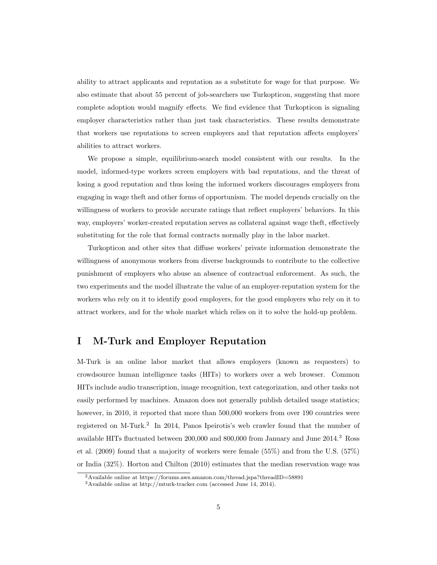ability to attract applicants and reputation as a substitute for wage for that purpose. We also estimate that about 55 percent of job-searchers use Turkopticon, suggesting that more complete adoption would magnify effects. We find evidence that Turkopticon is signaling employer characteristics rather than just task characteristics. These results demonstrate that workers use reputations to screen employers and that reputation affects employers' abilities to attract workers.

We propose a simple, equilibrium-search model consistent with our results. In the model, informed-type workers screen employers with bad reputations, and the threat of losing a good reputation and thus losing the informed workers discourages employers from engaging in wage theft and other forms of opportunism. The model depends crucially on the willingness of workers to provide accurate ratings that reflect employers' behaviors. In this way, employers' worker-created reputation serves as collateral against wage theft, effectively substituting for the role that formal contracts normally play in the labor market.

Turkopticon and other sites that diffuse workers' private information demonstrate the willingness of anonymous workers from diverse backgrounds to contribute to the collective punishment of employers who abuse an absence of contractual enforcement. As such, the two experiments and the model illustrate the value of an employer-reputation system for the workers who rely on it to identify good employers, for the good employers who rely on it to attract workers, and for the whole market which relies on it to solve the hold-up problem.

### I M-Turk and Employer Reputation

M-Turk is an online labor market that allows employers (known as requesters) to crowdsource human intelligence tasks (HITs) to workers over a web browser. Common HITs include audio transcription, image recognition, text categorization, and other tasks not easily performed by machines. Amazon does not generally publish detailed usage statistics; however, in 2010, it reported that more than 500,000 workers from over 190 countries were registered on M-Turk.<sup>2</sup> In 2014, Panos Ipeirotis's web crawler found that the number of available HITs fluctuated between 200,000 and 800,000 from January and June 2014.<sup>3</sup> Ross et al. (2009) found that a majority of workers were female (55%) and from the U.S. (57%) or India (32%). Horton and Chilton (2010) estimates that the median reservation wage was

<sup>2</sup>Available online at https://forums.aws.amazon.com/thread.jspa?threadID=58891

<sup>3</sup>Available online at http://mturk-tracker.com (accessed June 14, 2014).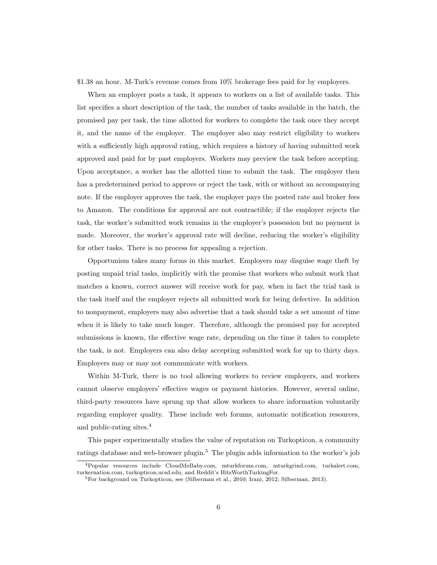\$1.38 an hour. M-Turk's revenue comes from 10% brokerage fees paid for by employers.

When an employer posts a task, it appears to workers on a list of available tasks. This list specifies a short description of the task, the number of tasks available in the batch, the promised pay per task, the time allotted for workers to complete the task once they accept it, and the name of the employer. The employer also may restrict eligibility to workers with a sufficiently high approval rating, which requires a history of having submitted work approved and paid for by past employers. Workers may preview the task before accepting. Upon acceptance, a worker has the allotted time to submit the task. The employer then has a predetermined period to approve or reject the task, with or without an accompanying note. If the employer approves the task, the employer pays the posted rate and broker fees to Amazon. The conditions for approval are not contractible; if the employer rejects the task, the worker's submitted work remains in the employer's possession but no payment is made. Moreover, the worker's approval rate will decline, reducing the worker's eligibility for other tasks. There is no process for appealing a rejection.

Opportunism takes many forms in this market. Employers may disguise wage theft by posting unpaid trial tasks, implicitly with the promise that workers who submit work that matches a known, correct answer will receive work for pay, when in fact the trial task is the task itself and the employer rejects all submitted work for being defective. In addition to nonpayment, employers may also advertise that a task should take a set amount of time when it is likely to take much longer. Therefore, although the promised pay for accepted submissions is known, the effective wage rate, depending on the time it takes to complete the task, is not. Employers can also delay accepting submitted work for up to thirty days. Employers may or may not communicate with workers.

Within M-Turk, there is no tool allowing workers to review employers, and workers cannot observe employers' effective wages or payment histories. However, several online, third-party resources have sprung up that allow workers to share information voluntarily regarding employer quality. These include web forums, automatic notification resources, and public-rating sites.<sup>4</sup>

This paper experimentally studies the value of reputation on Turkopticon, a community ratings database and web-browser plugin.<sup>5</sup> The plugin adds information to the worker's job

<sup>4</sup>Popular resources include CloudMeBaby.com, mturkforum.com, mturkgrind.com, turkalert.com, turkernation.com, turkopticon.ucsd.edu, and Reddit's HitsWorthTurkingFor.

<sup>5</sup>For background on Turkopticon, see (Silberman et al., 2010; Irani, 2012; Silberman, 2013).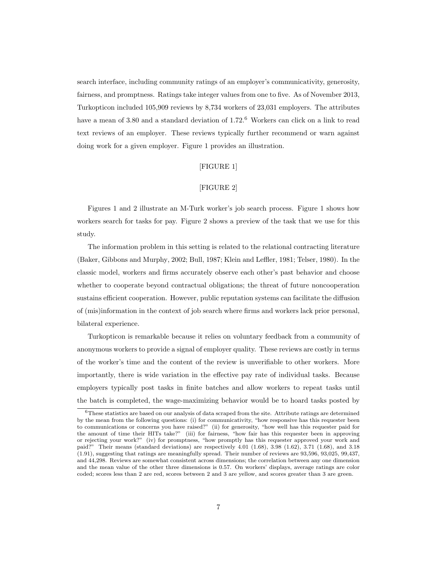search interface, including community ratings of an employer's communicativity, generosity, fairness, and promptness. Ratings take integer values from one to five. As of November 2013, Turkopticon included 105,909 reviews by 8,734 workers of 23,031 employers. The attributes have a mean of 3.80 and a standard deviation of 1.72.<sup>6</sup> Workers can click on a link to read text reviews of an employer. These reviews typically further recommend or warn against doing work for a given employer. Figure 1 provides an illustration.

#### [FIGURE 1]

#### [FIGURE 2]

Figures 1 and 2 illustrate an M-Turk worker's job search process. Figure 1 shows how workers search for tasks for pay. Figure 2 shows a preview of the task that we use for this study.

The information problem in this setting is related to the relational contracting literature (Baker, Gibbons and Murphy, 2002; Bull, 1987; Klein and Leffler, 1981; Telser, 1980). In the classic model, workers and firms accurately observe each other's past behavior and choose whether to cooperate beyond contractual obligations; the threat of future noncooperation sustains efficient cooperation. However, public reputation systems can facilitate the diffusion of (mis)information in the context of job search where firms and workers lack prior personal, bilateral experience.

Turkopticon is remarkable because it relies on voluntary feedback from a community of anonymous workers to provide a signal of employer quality. These reviews are costly in terms of the worker's time and the content of the review is unverifiable to other workers. More importantly, there is wide variation in the effective pay rate of individual tasks. Because employers typically post tasks in finite batches and allow workers to repeat tasks until the batch is completed, the wage-maximizing behavior would be to hoard tasks posted by

 $6$ These statistics are based on our analysis of data scraped from the site. Attribute ratings are determined by the mean from the following questions: (i) for communicativity, "how responsive has this requester been to communications or concerns you have raised?" (ii) for generosity, "how well has this requester paid for the amount of time their HITs take?" (iii) for fairness, "how fair has this requester been in approving or rejecting your work?" (iv) for promptness, "how promptly has this requester approved your work and paid?" Their means (standard deviations) are respectively 4.01 (1.68), 3.98 (1.62), 3.71 (1.68), and 3.18 (1.91), suggesting that ratings are meaningfully spread. Their number of reviews are 93,596, 93,025, 99,437, and 44,298. Reviews are somewhat consistent across dimensions; the correlation between any one dimension and the mean value of the other three dimensions is 0.57. On workers' displays, average ratings are color coded; scores less than 2 are red, scores between 2 and 3 are yellow, and scores greater than 3 are green.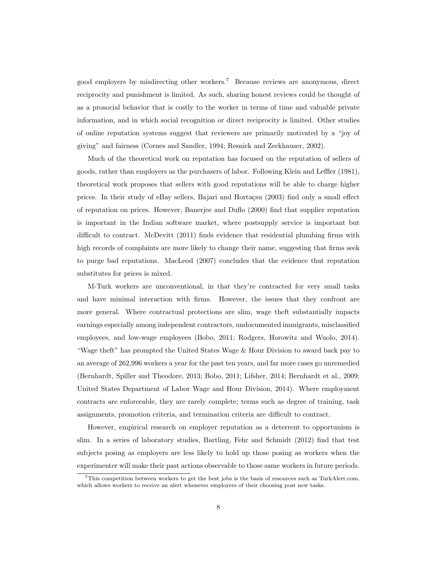good employers by misdirecting other workers.<sup>7</sup> Because reviews are anonymous, direct reciprocity and punishment is limited. As such, sharing honest reviews could be thought of as a prosocial behavior that is costly to the worker in terms of time and valuable private information, and in which social recognition or direct reciprocity is limited. Other studies of online reputation systems suggest that reviewers are primarily motivated by a "joy of giving" and fairness (Cornes and Sandler, 1994; Resnick and Zeckhauser, 2002).

Much of the theoretical work on reputation has focused on the reputation of sellers of goods, rather than employers as the purchasers of labor. Following Klein and Leffler (1981), theoretical work proposes that sellers with good reputations will be able to charge higher prices. In their study of eBay sellers, Bajari and Hortaçsu (2003) find only a small effect of reputation on prices. However, Banerjee and Duflo (2000) find that supplier reputation is important in the Indian software market, where postsupply service is important but difficult to contract. McDevitt (2011) finds evidence that residential plumbing firms with high records of complaints are more likely to change their name, suggesting that firms seek to purge bad reputations. MacLeod (2007) concludes that the evidence that reputation substitutes for prices is mixed.

M-Turk workers are unconventional, in that they're contracted for very small tasks and have minimal interaction with firms. However, the issues that they confront are more general. Where contractual protections are slim, wage theft substantially impacts earnings especially among independent contractors, undocumented immigrants, misclassified employees, and low-wage employees (Bobo, 2011; Rodgers, Horowitz and Wuolo, 2014). "Wage theft" has prompted the United States Wage & Hour Division to award back pay to an average of 262,996 workers a year for the past ten years, and far more cases go unremedied (Bernhardt, Spiller and Theodore, 2013; Bobo, 2011; Lifsher, 2014; Bernhardt et al., 2009; United States Department of Labor Wage and Hour Division, 2014). Where employment contracts are enforceable, they are rarely complete; terms such as degree of training, task assignments, promotion criteria, and termination criteria are difficult to contract.

However, empirical research on employer reputation as a deterrent to opportunism is slim. In a series of laboratory studies, Bartling, Fehr and Schmidt (2012) find that test subjects posing as employers are less likely to hold up those posing as workers when the experimenter will make their past actions observable to those same workers in future periods.

<sup>7</sup>This competition between workers to get the best jobs is the basis of resources such as TurkAlert.com, which allows workers to receive an alert whenever employers of their choosing post new tasks.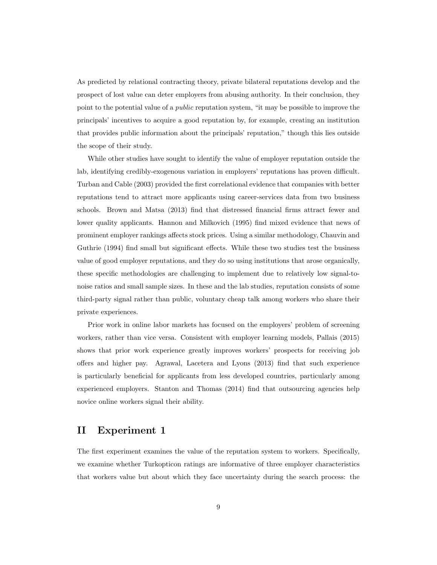As predicted by relational contracting theory, private bilateral reputations develop and the prospect of lost value can deter employers from abusing authority. In their conclusion, they point to the potential value of a *public* reputation system, "it may be possible to improve the principals' incentives to acquire a good reputation by, for example, creating an institution that provides public information about the principals' reputation," though this lies outside the scope of their study.

While other studies have sought to identify the value of employer reputation outside the lab, identifying credibly-exogenous variation in employers' reputations has proven difficult. Turban and Cable (2003) provided the first correlational evidence that companies with better reputations tend to attract more applicants using career-services data from two business schools. Brown and Matsa (2013) find that distressed financial firms attract fewer and lower quality applicants. Hannon and Milkovich (1995) find mixed evidence that news of prominent employer rankings affects stock prices. Using a similar methodology, Chauvin and Guthrie (1994) find small but significant effects. While these two studies test the business value of good employer reputations, and they do so using institutions that arose organically, these specific methodologies are challenging to implement due to relatively low signal-tonoise ratios and small sample sizes. In these and the lab studies, reputation consists of some third-party signal rather than public, voluntary cheap talk among workers who share their private experiences.

Prior work in online labor markets has focused on the employers' problem of screening workers, rather than vice versa. Consistent with employer learning models, Pallais (2015) shows that prior work experience greatly improves workers' prospects for receiving job offers and higher pay. Agrawal, Lacetera and Lyons (2013) find that such experience is particularly beneficial for applicants from less developed countries, particularly among experienced employers. Stanton and Thomas (2014) find that outsourcing agencies help novice online workers signal their ability.

### II Experiment 1

The first experiment examines the value of the reputation system to workers. Specifically, we examine whether Turkopticon ratings are informative of three employer characteristics that workers value but about which they face uncertainty during the search process: the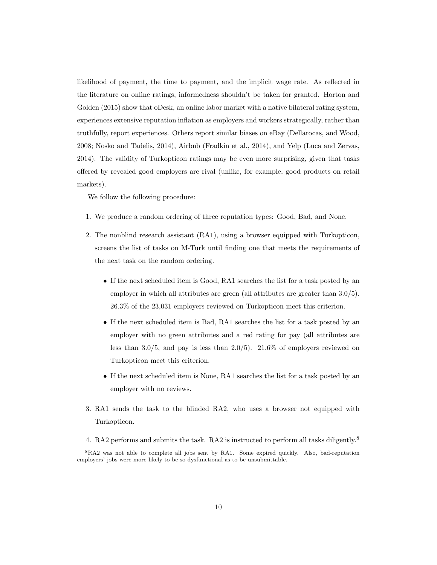likelihood of payment, the time to payment, and the implicit wage rate. As reflected in the literature on online ratings, informedness shouldn't be taken for granted. Horton and Golden (2015) show that oDesk, an online labor market with a native bilateral rating system, experiences extensive reputation inflation as employers and workers strategically, rather than truthfully, report experiences. Others report similar biases on eBay (Dellarocas, and Wood, 2008; Nosko and Tadelis, 2014), Airbnb (Fradkin et al., 2014), and Yelp (Luca and Zervas, 2014). The validity of Turkopticon ratings may be even more surprising, given that tasks offered by revealed good employers are rival (unlike, for example, good products on retail markets).

We follow the following procedure:

- 1. We produce a random ordering of three reputation types: Good, Bad, and None.
- 2. The nonblind research assistant (RA1), using a browser equipped with Turkopticon, screens the list of tasks on M-Turk until finding one that meets the requirements of the next task on the random ordering.
	- If the next scheduled item is Good, RA1 searches the list for a task posted by an employer in which all attributes are green (all attributes are greater than 3.0/5). 26.3% of the 23,031 employers reviewed on Turkopticon meet this criterion.
	- If the next scheduled item is Bad, RA1 searches the list for a task posted by an employer with no green attributes and a red rating for pay (all attributes are less than 3.0/5, and pay is less than 2.0/5). 21.6% of employers reviewed on Turkopticon meet this criterion.
	- If the next scheduled item is None, RA1 searches the list for a task posted by an employer with no reviews.
- 3. RA1 sends the task to the blinded RA2, who uses a browser not equipped with Turkopticon.
- 4. RA2 performs and submits the task. RA2 is instructed to perform all tasks diligently.<sup>8</sup>

<sup>8</sup>RA2 was not able to complete all jobs sent by RA1. Some expired quickly. Also, bad-reputation employers' jobs were more likely to be so dysfunctional as to be unsubmittable.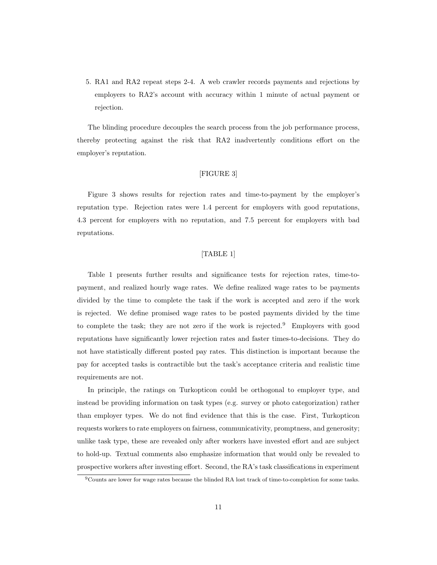5. RA1 and RA2 repeat steps 2-4. A web crawler records payments and rejections by employers to RA2's account with accuracy within 1 minute of actual payment or rejection.

The blinding procedure decouples the search process from the job performance process, thereby protecting against the risk that RA2 inadvertently conditions effort on the employer's reputation.

#### [FIGURE 3]

Figure 3 shows results for rejection rates and time-to-payment by the employer's reputation type. Rejection rates were 1.4 percent for employers with good reputations, 4.3 percent for employers with no reputation, and 7.5 percent for employers with bad reputations.

#### [TABLE 1]

Table 1 presents further results and significance tests for rejection rates, time-topayment, and realized hourly wage rates. We define realized wage rates to be payments divided by the time to complete the task if the work is accepted and zero if the work is rejected. We define promised wage rates to be posted payments divided by the time to complete the task; they are not zero if the work is rejected.<sup>9</sup> Employers with good reputations have significantly lower rejection rates and faster times-to-decisions. They do not have statistically different posted pay rates. This distinction is important because the pay for accepted tasks is contractible but the task's acceptance criteria and realistic time requirements are not.

In principle, the ratings on Turkopticon could be orthogonal to employer type, and instead be providing information on task types (e.g. survey or photo categorization) rather than employer types. We do not find evidence that this is the case. First, Turkopticon requests workers to rate employers on fairness, communicativity, promptness, and generosity; unlike task type, these are revealed only after workers have invested effort and are subject to hold-up. Textual comments also emphasize information that would only be revealed to prospective workers after investing effort. Second, the RA's task classifications in experiment

<sup>9</sup>Counts are lower for wage rates because the blinded RA lost track of time-to-completion for some tasks.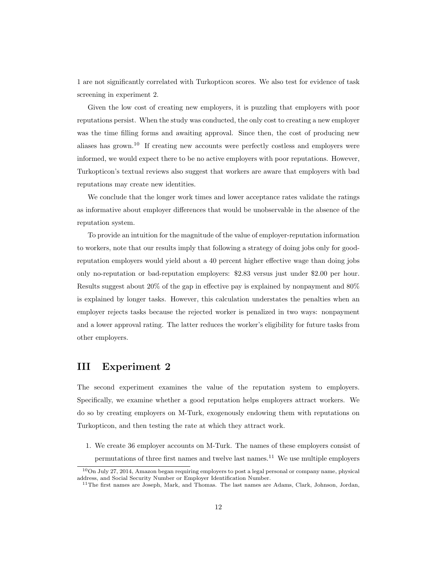1 are not significantly correlated with Turkopticon scores. We also test for evidence of task screening in experiment 2.

Given the low cost of creating new employers, it is puzzling that employers with poor reputations persist. When the study was conducted, the only cost to creating a new employer was the time filling forms and awaiting approval. Since then, the cost of producing new aliases has grown.<sup>10</sup> If creating new accounts were perfectly costless and employers were informed, we would expect there to be no active employers with poor reputations. However, Turkopticon's textual reviews also suggest that workers are aware that employers with bad reputations may create new identities.

We conclude that the longer work times and lower acceptance rates validate the ratings as informative about employer differences that would be unobservable in the absence of the reputation system.

To provide an intuition for the magnitude of the value of employer-reputation information to workers, note that our results imply that following a strategy of doing jobs only for goodreputation employers would yield about a 40 percent higher effective wage than doing jobs only no-reputation or bad-reputation employers: \$2.83 versus just under \$2.00 per hour. Results suggest about 20% of the gap in effective pay is explained by nonpayment and 80% is explained by longer tasks. However, this calculation understates the penalties when an employer rejects tasks because the rejected worker is penalized in two ways: nonpayment and a lower approval rating. The latter reduces the worker's eligibility for future tasks from other employers.

### III Experiment 2

The second experiment examines the value of the reputation system to employers. Specifically, we examine whether a good reputation helps employers attract workers. We do so by creating employers on M-Turk, exogenously endowing them with reputations on Turkopticon, and then testing the rate at which they attract work.

1. We create 36 employer accounts on M-Turk. The names of these employers consist of permutations of three first names and twelve last names.<sup>11</sup> We use multiple employers

<sup>10</sup>On July 27, 2014, Amazon began requiring employers to post a legal personal or company name, physical address, and Social Security Number or Employer Identification Number.

<sup>&</sup>lt;sup>11</sup>The first names are Joseph, Mark, and Thomas. The last names are Adams, Clark, Johnson, Jordan,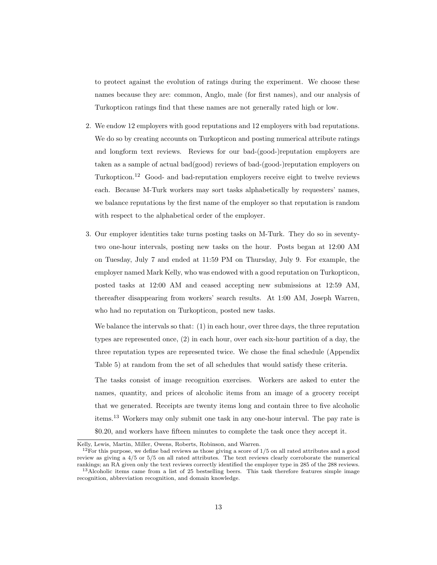to protect against the evolution of ratings during the experiment. We choose these names because they are: common, Anglo, male (for first names), and our analysis of Turkopticon ratings find that these names are not generally rated high or low.

- 2. We endow 12 employers with good reputations and 12 employers with bad reputations. We do so by creating accounts on Turkopticon and posting numerical attribute ratings and longform text reviews. Reviews for our bad-(good-)reputation employers are taken as a sample of actual bad(good) reviews of bad-(good-)reputation employers on Turkopticon.<sup>12</sup> Good- and bad-reputation employers receive eight to twelve reviews each. Because M-Turk workers may sort tasks alphabetically by requesters' names, we balance reputations by the first name of the employer so that reputation is random with respect to the alphabetical order of the employer.
- 3. Our employer identities take turns posting tasks on M-Turk. They do so in seventytwo one-hour intervals, posting new tasks on the hour. Posts began at 12:00 AM on Tuesday, July 7 and ended at 11:59 PM on Thursday, July 9. For example, the employer named Mark Kelly, who was endowed with a good reputation on Turkopticon, posted tasks at 12:00 AM and ceased accepting new submissions at 12:59 AM, thereafter disappearing from workers' search results. At 1:00 AM, Joseph Warren, who had no reputation on Turkopticon, posted new tasks.

We balance the intervals so that: (1) in each hour, over three days, the three reputation types are represented once, (2) in each hour, over each six-hour partition of a day, the three reputation types are represented twice. We chose the final schedule (Appendix Table 5) at random from the set of all schedules that would satisfy these criteria.

The tasks consist of image recognition exercises. Workers are asked to enter the names, quantity, and prices of alcoholic items from an image of a grocery receipt that we generated. Receipts are twenty items long and contain three to five alcoholic items.<sup>13</sup> Workers may only submit one task in any one-hour interval. The pay rate is \$0.20, and workers have fifteen minutes to complete the task once they accept it.

Kelly, Lewis, Martin, Miller, Owens, Roberts, Robinson, and Warren.

 $12$ For this purpose, we define bad reviews as those giving a score of  $1/5$  on all rated attributes and a good review as giving a 4/5 or 5/5 on all rated attributes. The text reviews clearly corroborate the numerical rankings; an RA given only the text reviews correctly identified the employer type in 285 of the 288 reviews.

<sup>&</sup>lt;sup>13</sup>Alcoholic items came from a list of 25 bestselling beers. This task therefore features simple image recognition, abbreviation recognition, and domain knowledge.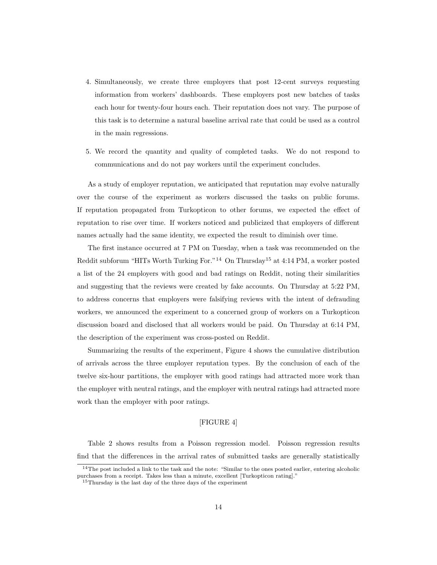- 4. Simultaneously, we create three employers that post 12-cent surveys requesting information from workers' dashboards. These employers post new batches of tasks each hour for twenty-four hours each. Their reputation does not vary. The purpose of this task is to determine a natural baseline arrival rate that could be used as a control in the main regressions.
- 5. We record the quantity and quality of completed tasks. We do not respond to communications and do not pay workers until the experiment concludes.

As a study of employer reputation, we anticipated that reputation may evolve naturally over the course of the experiment as workers discussed the tasks on public forums. If reputation propagated from Turkopticon to other forums, we expected the effect of reputation to rise over time. If workers noticed and publicized that employers of different names actually had the same identity, we expected the result to diminish over time.

The first instance occurred at 7 PM on Tuesday, when a task was recommended on the Reddit subforum "HITs Worth Turking For."<sup>14</sup> On Thursday<sup>15</sup> at 4:14 PM, a worker posted a list of the 24 employers with good and bad ratings on Reddit, noting their similarities and suggesting that the reviews were created by fake accounts. On Thursday at 5:22 PM, to address concerns that employers were falsifying reviews with the intent of defrauding workers, we announced the experiment to a concerned group of workers on a Turkopticon discussion board and disclosed that all workers would be paid. On Thursday at 6:14 PM, the description of the experiment was cross-posted on Reddit.

Summarizing the results of the experiment, Figure 4 shows the cumulative distribution of arrivals across the three employer reputation types. By the conclusion of each of the twelve six-hour partitions, the employer with good ratings had attracted more work than the employer with neutral ratings, and the employer with neutral ratings had attracted more work than the employer with poor ratings.

#### [FIGURE 4]

Table 2 shows results from a Poisson regression model. Poisson regression results find that the differences in the arrival rates of submitted tasks are generally statistically

<sup>&</sup>lt;sup>14</sup>The post included a link to the task and the note: "Similar to the ones posted earlier, entering alcoholic purchases from a receipt. Takes less than a minute, excellent [Turkopticon rating]."

<sup>15</sup>Thursday is the last day of the three days of the experiment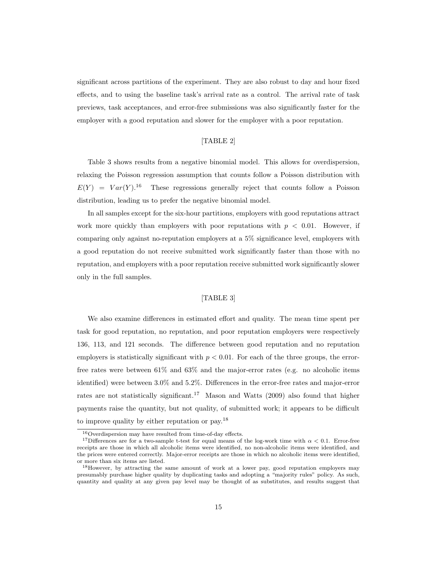significant across partitions of the experiment. They are also robust to day and hour fixed effects, and to using the baseline task's arrival rate as a control. The arrival rate of task previews, task acceptances, and error-free submissions was also significantly faster for the employer with a good reputation and slower for the employer with a poor reputation.

#### [TABLE 2]

Table 3 shows results from a negative binomial model. This allows for overdispersion, relaxing the Poisson regression assumption that counts follow a Poisson distribution with  $E(Y) = Var(Y).$ <sup>16</sup> These regressions generally reject that counts follow a Poisson distribution, leading us to prefer the negative binomial model.

In all samples except for the six-hour partitions, employers with good reputations attract work more quickly than employers with poor reputations with  $p < 0.01$ . However, if comparing only against no-reputation employers at a 5% significance level, employers with a good reputation do not receive submitted work significantly faster than those with no reputation, and employers with a poor reputation receive submitted work significantly slower only in the full samples.

#### [TABLE 3]

We also examine differences in estimated effort and quality. The mean time spent per task for good reputation, no reputation, and poor reputation employers were respectively 136, 113, and 121 seconds. The difference between good reputation and no reputation employers is statistically significant with  $p < 0.01$ . For each of the three groups, the errorfree rates were between 61% and 63% and the major-error rates (e.g. no alcoholic items identified) were between 3.0% and 5.2%. Differences in the error-free rates and major-error rates are not statistically significant.<sup>17</sup> Mason and Watts  $(2009)$  also found that higher payments raise the quantity, but not quality, of submitted work; it appears to be difficult to improve quality by either reputation or pay.<sup>18</sup>

<sup>16</sup>Overdispersion may have resulted from time-of-day effects.

<sup>&</sup>lt;sup>17</sup>Differences are for a two-sample t-test for equal means of the log-work time with  $\alpha < 0.1$ . Error-free receipts are those in which all alcoholic items were identified, no non-alcoholic items were identified, and the prices were entered correctly. Major-error receipts are those in which no alcoholic items were identified, or more than six items are listed.

<sup>18</sup>However, by attracting the same amount of work at a lower pay, good reputation employers may presumably purchase higher quality by duplicating tasks and adopting a "majority rules" policy. As such, quantity and quality at any given pay level may be thought of as substitutes, and results suggest that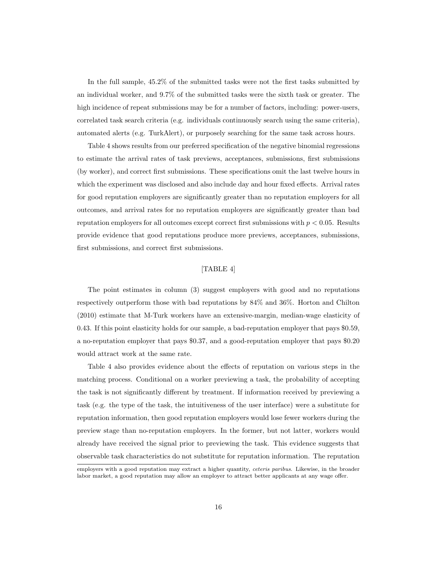In the full sample, 45.2% of the submitted tasks were not the first tasks submitted by an individual worker, and 9.7% of the submitted tasks were the sixth task or greater. The high incidence of repeat submissions may be for a number of factors, including: power-users, correlated task search criteria (e.g. individuals continuously search using the same criteria), automated alerts (e.g. TurkAlert), or purposely searching for the same task across hours.

Table 4 shows results from our preferred specification of the negative binomial regressions to estimate the arrival rates of task previews, acceptances, submissions, first submissions (by worker), and correct first submissions. These specifications omit the last twelve hours in which the experiment was disclosed and also include day and hour fixed effects. Arrival rates for good reputation employers are significantly greater than no reputation employers for all outcomes, and arrival rates for no reputation employers are significantly greater than bad reputation employers for all outcomes except correct first submissions with  $p < 0.05$ . Results provide evidence that good reputations produce more previews, acceptances, submissions, first submissions, and correct first submissions.

#### [TABLE 4]

The point estimates in column (3) suggest employers with good and no reputations respectively outperform those with bad reputations by 84% and 36%. Horton and Chilton (2010) estimate that M-Turk workers have an extensive-margin, median-wage elasticity of 0.43. If this point elasticity holds for our sample, a bad-reputation employer that pays \$0.59, a no-reputation employer that pays \$0.37, and a good-reputation employer that pays \$0.20 would attract work at the same rate.

Table 4 also provides evidence about the effects of reputation on various steps in the matching process. Conditional on a worker previewing a task, the probability of accepting the task is not significantly different by treatment. If information received by previewing a task (e.g. the type of the task, the intuitiveness of the user interface) were a substitute for reputation information, then good reputation employers would lose fewer workers during the preview stage than no-reputation employers. In the former, but not latter, workers would already have received the signal prior to previewing the task. This evidence suggests that observable task characteristics do not substitute for reputation information. The reputation

employers with a good reputation may extract a higher quantity, *ceteris paribus*. Likewise, in the broader labor market, a good reputation may allow an employer to attract better applicants at any wage offer.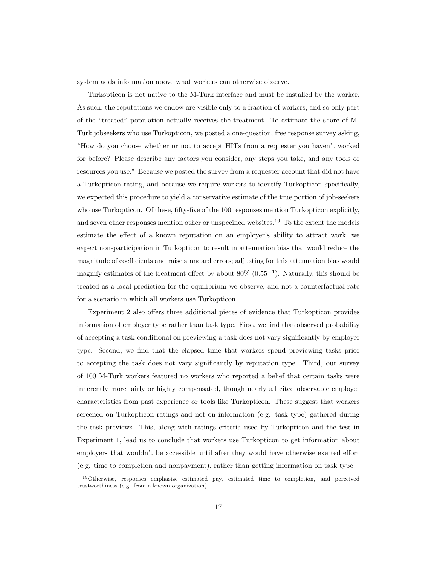system adds information above what workers can otherwise observe.

Turkopticon is not native to the M-Turk interface and must be installed by the worker. As such, the reputations we endow are visible only to a fraction of workers, and so only part of the "treated" population actually receives the treatment. To estimate the share of M-Turk jobseekers who use Turkopticon, we posted a one-question, free response survey asking, "How do you choose whether or not to accept HITs from a requester you haven't worked for before? Please describe any factors you consider, any steps you take, and any tools or resources you use." Because we posted the survey from a requester account that did not have a Turkopticon rating, and because we require workers to identify Turkopticon specifically, we expected this procedure to yield a conservative estimate of the true portion of job-seekers who use Turkopticon. Of these, fifty-five of the 100 responses mention Turkopticon explicitly, and seven other responses mention other or unspecified websites.<sup>19</sup> To the extent the models estimate the effect of a known reputation on an employer's ability to attract work, we expect non-participation in Turkopticon to result in attenuation bias that would reduce the magnitude of coefficients and raise standard errors; adjusting for this attenuation bias would magnify estimates of the treatment effect by about  $80\%$   $(0.55^{-1})$ . Naturally, this should be treated as a local prediction for the equilibrium we observe, and not a counterfactual rate for a scenario in which all workers use Turkopticon.

Experiment 2 also offers three additional pieces of evidence that Turkopticon provides information of employer type rather than task type. First, we find that observed probability of accepting a task conditional on previewing a task does not vary significantly by employer type. Second, we find that the elapsed time that workers spend previewing tasks prior to accepting the task does not vary significantly by reputation type. Third, our survey of 100 M-Turk workers featured no workers who reported a belief that certain tasks were inherently more fairly or highly compensated, though nearly all cited observable employer characteristics from past experience or tools like Turkopticon. These suggest that workers screened on Turkopticon ratings and not on information (e.g. task type) gathered during the task previews. This, along with ratings criteria used by Turkopticon and the test in Experiment 1, lead us to conclude that workers use Turkopticon to get information about employers that wouldn't be accessible until after they would have otherwise exerted effort (e.g. time to completion and nonpayment), rather than getting information on task type.

<sup>19</sup>Otherwise, responses emphasize estimated pay, estimated time to completion, and perceived trustworthiness (e.g. from a known organization).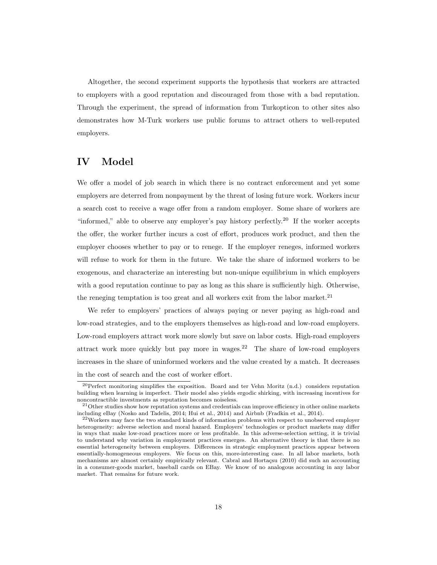Altogether, the second experiment supports the hypothesis that workers are attracted to employers with a good reputation and discouraged from those with a bad reputation. Through the experiment, the spread of information from Turkopticon to other sites also demonstrates how M-Turk workers use public forums to attract others to well-reputed employers.

## IV Model

We offer a model of job search in which there is no contract enforcement and yet some employers are deterred from nonpayment by the threat of losing future work. Workers incur a search cost to receive a wage offer from a random employer. Some share of workers are "informed," able to observe any employer's pay history perfectly.<sup>20</sup> If the worker accepts the offer, the worker further incurs a cost of effort, produces work product, and then the employer chooses whether to pay or to renege. If the employer reneges, informed workers will refuse to work for them in the future. We take the share of informed workers to be exogenous, and characterize an interesting but non-unique equilibrium in which employers with a good reputation continue to pay as long as this share is sufficiently high. Otherwise, the reneging temptation is too great and all workers exit from the labor market. $21$ 

We refer to employers' practices of always paying or never paying as high-road and low-road strategies, and to the employers themselves as high-road and low-road employers. Low-road employers attract work more slowly but save on labor costs. High-road employers attract work more quickly but pay more in wages. $22$  The share of low-road employers increases in the share of uninformed workers and the value created by a match. It decreases in the cost of search and the cost of worker effort.

<sup>&</sup>lt;sup>20</sup>Perfect monitoring simplifies the exposition. Board and ter Vehn Moritz  $(n.d.)$  considers reputation building when learning is imperfect. Their model also yields ergodic shirking, with increasing incentives for noncontractible investments as reputation becomes noiseless.

<sup>&</sup>lt;sup>21</sup>Other studies show how reputation systems and credentials can improve efficiency in other online markets including eBay (Nosko and Tadelis, 2014; Hui et al., 2014) and Airbnb (Fradkin et al., 2014).

 $22$ Workers may face the two standard kinds of information problems with respect to unobserved employer heterogeneity: adverse selection and moral hazard. Employers' technologies or product markets may differ in ways that make low-road practices more or less profitable. In this adverse-selection setting, it is trivial to understand why variation in employment practices emerges. An alternative theory is that there is no essential heterogeneity between employers. Differences in strategic employment practices appear between essentially-homogeneous employers. We focus on this, more-interesting case. In all labor markets, both mechanisms are almost certainly empirically relevant. Cabral and Hortaçsu (2010) did such an accounting in a consumer-goods market, baseball cards on EBay. We know of no analogous accounting in any labor market. That remains for future work.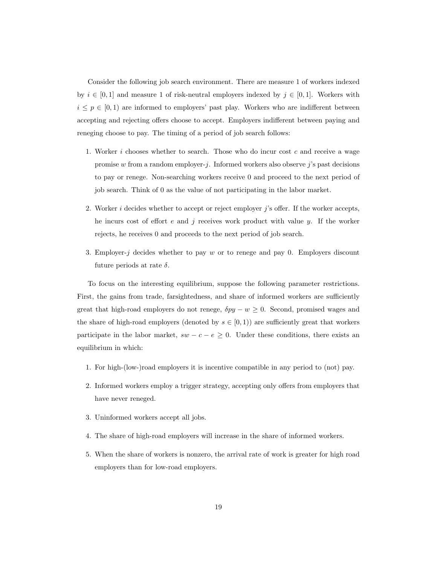Consider the following job search environment. There are measure 1 of workers indexed by  $i \in [0,1]$  and measure 1 of risk-neutral employers indexed by  $j \in [0,1]$ . Workers with  $i \leq p \in [0,1)$  are informed to employers' past play. Workers who are indifferent between accepting and rejecting offers choose to accept. Employers indifferent between paying and reneging choose to pay. The timing of a period of job search follows:

- 1. Worker  $i$  chooses whether to search. Those who do incur cost  $c$  and receive a wage promise w from a random employer-j. Informed workers also observe j's past decisions to pay or renege. Non-searching workers receive 0 and proceed to the next period of job search. Think of 0 as the value of not participating in the labor market.
- 2. Worker i decides whether to accept or reject employer j's offer. If the worker accepts, he incurs cost of effort  $e$  and  $j$  receives work product with value  $y$ . If the worker rejects, he receives 0 and proceeds to the next period of job search.
- 3. Employer-j decides whether to pay w or to renege and pay 0. Employers discount future periods at rate  $\delta$ .

To focus on the interesting equilibrium, suppose the following parameter restrictions. First, the gains from trade, farsightedness, and share of informed workers are sufficiently great that high-road employers do not renege,  $\delta py - w \geq 0$ . Second, promised wages and the share of high-road employers (denoted by  $s \in [0,1)$ ) are sufficiently great that workers participate in the labor market,  $sw - c - e \geq 0$ . Under these conditions, there exists an equilibrium in which:

- 1. For high-(low-)road employers it is incentive compatible in any period to (not) pay.
- 2. Informed workers employ a trigger strategy, accepting only offers from employers that have never reneged.
- 3. Uninformed workers accept all jobs.
- 4. The share of high-road employers will increase in the share of informed workers.
- 5. When the share of workers is nonzero, the arrival rate of work is greater for high road employers than for low-road employers.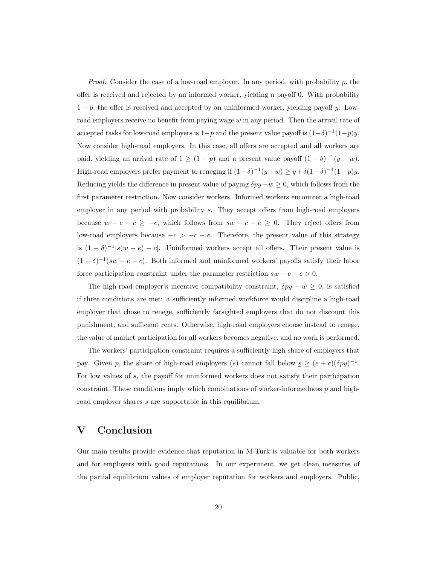*Proof:* Consider the case of a low-road employer. In any period, with probability  $p$ , the offer is received and rejected by an informed worker, yielding a payoff 0. With probability  $1 - p$ , the offer is received and accepted by an uninformed worker, yielding payoff y. Lowroad employers receive no benefit from paying wage w in any period. Then the arrival rate of accepted tasks for low-road employers is  $1-p$  and the present value payoff is  $(1-\delta)^{-1}(1-p)y$ . Now consider high-road employers. In this case, all offers are accepted and all workers are paid, yielding an arrival rate of  $1 \ge (1 - p)$  and a present value payoff  $(1 - \delta)^{-1}(y - w)$ . High-road employers prefer payment to reneging if  $(1-\delta)^{-1}(y-w) \geq y + \delta(1-\delta)^{-1}(1-p)y$ . Reducing yields the difference in present value of paying  $\delta py - w \geq 0$ , which follows from the first parameter restriction. Now consider workers. Informed workers encounter a high-road employer in any period with probability s. They accept offers from high-road employers because  $w - e - c \ge -c$ , which follows from  $sw - c - e \ge 0$ . They reject offers from low-road employers because  $-c > -c - e$ . Therefore, the present value of this strategy is  $(1 - \delta)^{-1}[s(w - e) - c]$ . Uninformed workers accept all offers. Their present value is  $(1 - \delta)^{-1}(sw - e - c)$ . Both informed and uninformed workers' payoffs satisfy their labor force participation constraint under the parameter restriction  $sw - c - e > 0$ .

The high-road employer's incentive compatibility constraint,  $\delta py - w \geq 0$ , is satisfied if three conditions are met: a sufficiently informed workforce would discipline a high-road employer that chose to renege, sufficiently farsighted employers that do not discount this punishment, and sufficient rents. Otherwise, high road employers choose instead to renege, the value of market participation for all workers becomes negative, and no work is performed.

The workers' participation constraint requires a sufficiently high share of employers that pay. Given p, the share of high-road employers (s) cannot fall below  $s \ge (e+c)(\delta py)^{-1}$ . For low values of s, the payoff for uninformed workers does not satisfy their participation constraint. These conditions imply which combinations of worker-informedness  $p$  and highroad employer shares s are supportable in this equilibrium.

### V Conclusion

Our main results provide evidence that reputation in M-Turk is valuable for both workers and for employers with good reputations. In our experiment, we get clean measures of the partial equilibrium values of employer reputation for workers and employers. Public,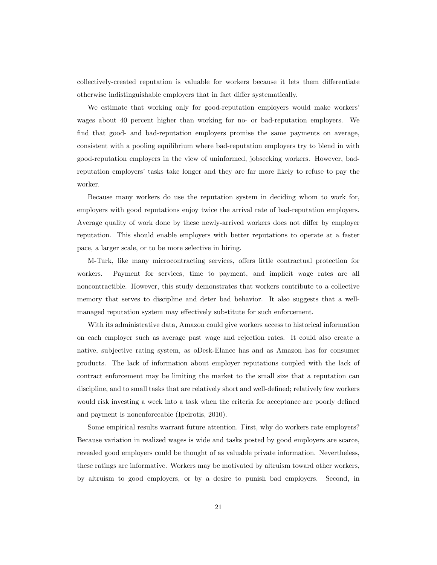collectively-created reputation is valuable for workers because it lets them differentiate otherwise indistinguishable employers that in fact differ systematically.

We estimate that working only for good-reputation employers would make workers' wages about 40 percent higher than working for no- or bad-reputation employers. We find that good- and bad-reputation employers promise the same payments on average, consistent with a pooling equilibrium where bad-reputation employers try to blend in with good-reputation employers in the view of uninformed, jobseeking workers. However, badreputation employers' tasks take longer and they are far more likely to refuse to pay the worker.

Because many workers do use the reputation system in deciding whom to work for, employers with good reputations enjoy twice the arrival rate of bad-reputation employers. Average quality of work done by these newly-arrived workers does not differ by employer reputation. This should enable employers with better reputations to operate at a faster pace, a larger scale, or to be more selective in hiring.

M-Turk, like many microcontracting services, offers little contractual protection for workers. Payment for services, time to payment, and implicit wage rates are all noncontractible. However, this study demonstrates that workers contribute to a collective memory that serves to discipline and deter bad behavior. It also suggests that a wellmanaged reputation system may effectively substitute for such enforcement.

With its administrative data, Amazon could give workers access to historical information on each employer such as average past wage and rejection rates. It could also create a native, subjective rating system, as oDesk-Elance has and as Amazon has for consumer products. The lack of information about employer reputations coupled with the lack of contract enforcement may be limiting the market to the small size that a reputation can discipline, and to small tasks that are relatively short and well-defined; relatively few workers would risk investing a week into a task when the criteria for acceptance are poorly defined and payment is nonenforceable (Ipeirotis, 2010).

Some empirical results warrant future attention. First, why do workers rate employers? Because variation in realized wages is wide and tasks posted by good employers are scarce, revealed good employers could be thought of as valuable private information. Nevertheless, these ratings are informative. Workers may be motivated by altruism toward other workers, by altruism to good employers, or by a desire to punish bad employers. Second, in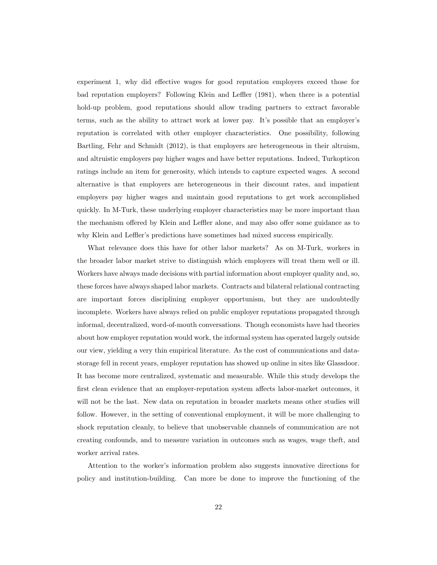experiment 1, why did effective wages for good reputation employers exceed those for bad reputation employers? Following Klein and Leffler (1981), when there is a potential hold-up problem, good reputations should allow trading partners to extract favorable terms, such as the ability to attract work at lower pay. It's possible that an employer's reputation is correlated with other employer characteristics. One possibility, following Bartling, Fehr and Schmidt (2012), is that employers are heterogeneous in their altruism, and altruistic employers pay higher wages and have better reputations. Indeed, Turkopticon ratings include an item for generosity, which intends to capture expected wages. A second alternative is that employers are heterogeneous in their discount rates, and impatient employers pay higher wages and maintain good reputations to get work accomplished quickly. In M-Turk, these underlying employer characteristics may be more important than the mechanism offered by Klein and Leffler alone, and may also offer some guidance as to why Klein and Leffler's predictions have sometimes had mixed success empirically.

What relevance does this have for other labor markets? As on M-Turk, workers in the broader labor market strive to distinguish which employers will treat them well or ill. Workers have always made decisions with partial information about employer quality and, so, these forces have always shaped labor markets. Contracts and bilateral relational contracting are important forces disciplining employer opportunism, but they are undoubtedly incomplete. Workers have always relied on public employer reputations propagated through informal, decentralized, word-of-mouth conversations. Though economists have had theories about how employer reputation would work, the informal system has operated largely outside our view, yielding a very thin empirical literature. As the cost of communications and datastorage fell in recent years, employer reputation has showed up online in sites like Glassdoor. It has become more centralized, systematic and measurable. While this study develops the first clean evidence that an employer-reputation system affects labor-market outcomes, it will not be the last. New data on reputation in broader markets means other studies will follow. However, in the setting of conventional employment, it will be more challenging to shock reputation cleanly, to believe that unobservable channels of communication are not creating confounds, and to measure variation in outcomes such as wages, wage theft, and worker arrival rates.

Attention to the worker's information problem also suggests innovative directions for policy and institution-building. Can more be done to improve the functioning of the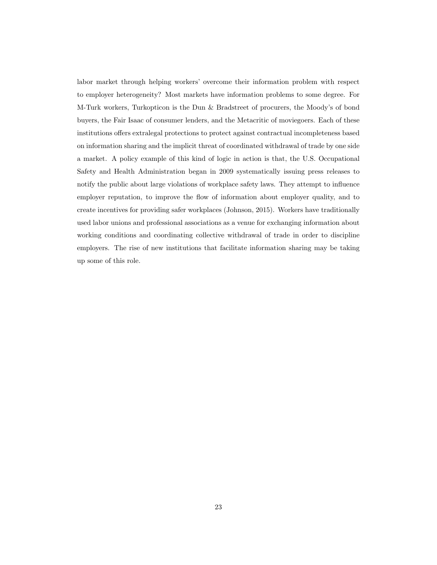labor market through helping workers' overcome their information problem with respect to employer heterogeneity? Most markets have information problems to some degree. For M-Turk workers, Turkopticon is the Dun & Bradstreet of procurers, the Moody's of bond buyers, the Fair Isaac of consumer lenders, and the Metacritic of moviegoers. Each of these institutions offers extralegal protections to protect against contractual incompleteness based on information sharing and the implicit threat of coordinated withdrawal of trade by one side a market. A policy example of this kind of logic in action is that, the U.S. Occupational Safety and Health Administration began in 2009 systematically issuing press releases to notify the public about large violations of workplace safety laws. They attempt to influence employer reputation, to improve the flow of information about employer quality, and to create incentives for providing safer workplaces (Johnson, 2015). Workers have traditionally used labor unions and professional associations as a venue for exchanging information about working conditions and coordinating collective withdrawal of trade in order to discipline employers. The rise of new institutions that facilitate information sharing may be taking up some of this role.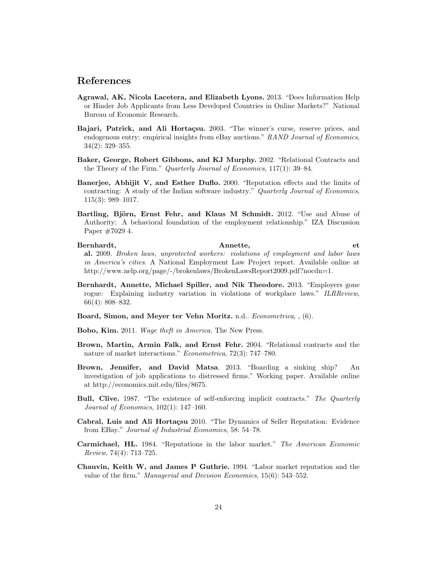#### References

- Agrawal, AK, Nicola Lacetera, and Elizabeth Lyons. 2013. "Does Information Help or Hinder Job Applicants from Less Developed Countries in Online Markets?" National Bureau of Economic Research.
- Bajari, Patrick, and Ali Hortaçsu. 2003. "The winner's curse, reserve prices, and endogenous entry: empirical insights from eBay auctions." RAND Journal of Economics, 34(2): 329–355.
- Baker, George, Robert Gibbons, and KJ Murphy. 2002. "Relational Contracts and the Theory of the Firm." Quarterly Journal of Economics, 117(1): 39–84.
- Banerjee, Abhijit V, and Esther Duflo. 2000. "Reputation effects and the limits of contracting: A study of the Indian software industry." Quarterly Journal of Economics, 115(3): 989–1017.
- Bartling, Björn, Ernst Fehr, and Klaus M Schmidt. 2012. "Use and Abuse of Authority: A behavioral foundation of the employment relationship." IZA Discussion Paper #7029 4.

#### Bernhardt, Annette, et al. 2009. Broken laws, unprotected workers: violations of employment and labor laws in America's cities. A National Employment Law Project report. Available online at

http://www.nelp.org/page/-/brokenlaws/BrokenLawsReport2009.pdf?nocdn=1.

Bernhardt, Annette, Michael Spiller, and Nik Theodore. 2013. "Employers gone rogue: Explaining industry variation in violations of workplace laws." ILRReview, 66(4): 808–832.

Board, Simon, and Meyer ter Vehn Moritz. n.d.. Econometrica, , (6).

- Bobo, Kim. 2011. Wage theft in America. The New Press.
- Brown, Martin, Armin Falk, and Ernst Fehr. 2004. "Relational contracts and the nature of market interactions." Econometrica, 72(3): 747–780.
- Brown, Jennifer, and David Matsa. 2013. "Boarding a sinking ship? An investigation of job applications to distressed firms." Working paper. Available online at http://economics.mit.edu/files/8675.
- Bull, Clive. 1987. "The existence of self-enforcing implicit contracts." The Quarterly Journal of Economics, 102(1): 147–160.
- Cabral, Luis and Ali Hortaçsu 2010. "The Dynamics of Seller Reputation: Evidence from EBay." Journal of Industrial Economics, 58: 54–78.
- Carmichael, HL. 1984. "Reputations in the labor market." The American Economic Review, 74(4): 713–725.
- Chauvin, Keith W, and James P Guthrie. 1994. "Labor market reputation and the value of the firm." *Managerial and Decision Economics*,  $15(6)$ :  $543-552$ .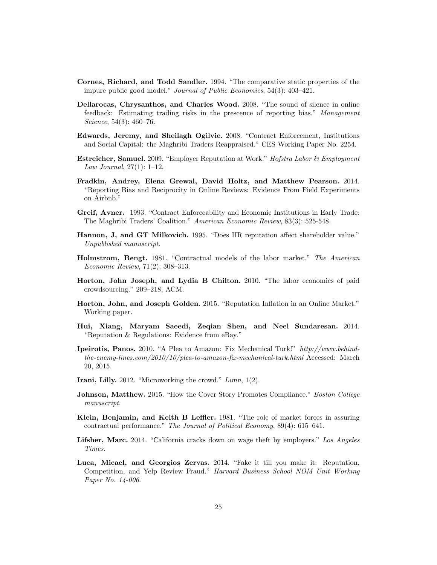- Cornes, Richard, and Todd Sandler. 1994. "The comparative static properties of the impure public good model." Journal of Public Economics, 54(3): 403–421.
- Dellarocas, Chrysanthos, and Charles Wood. 2008. "The sound of silence in online feedback: Estimating trading risks in the prescence of reporting bias." Management Science, 54(3): 460–76.
- Edwards, Jeremy, and Sheilagh Ogilvie. 2008. "Contract Enforcement, Institutions and Social Capital: the Maghribi Traders Reappraised." CES Working Paper No. 2254.
- Estreicher, Samuel. 2009. "Employer Reputation at Work." Hofstra Labor & Employment *Law Journal*,  $27(1)$ :  $1-12$ .
- Fradkin, Andrey, Elena Grewal, David Holtz, and Matthew Pearson. 2014. "Reporting Bias and Reciprocity in Online Reviews: Evidence From Field Experiments on Airbnb."
- Greif, Avner. 1993. "Contract Enforceability and Economic Institutions in Early Trade: The Maghribi Traders' Coalition." American Economic Review, 83(3): 525-548.
- Hannon, J, and GT Milkovich. 1995. "Does HR reputation affect shareholder value." Unpublished manuscript.
- Holmstrom, Bengt. 1981. "Contractual models of the labor market." The American Economic Review, 71(2): 308–313.
- Horton, John Joseph, and Lydia B Chilton. 2010. "The labor economics of paid crowdsourcing." 209–218, ACM.
- Horton, John, and Joseph Golden. 2015. "Reputation Inflation in an Online Market." Working paper.
- Hui, Xiang, Maryam Saeedi, Zeqian Shen, and Neel Sundaresan. 2014. "Reputation & Regulations: Evidence from eBay."
- Ipeirotis, Panos. 2010. "A Plea to Amazon: Fix Mechanical Turk!" http://www.behindthe-enemy-lines.com/2010/10/plea-to-amazon-fix-mechanical-turk.html Accessed: March 20, 2015.
- Irani, Lilly. 2012. "Microworking the crowd." Limn, 1(2).
- **Johnson, Matthew.** 2015. "How the Cover Story Promotes Compliance." Boston College manuscript.
- Klein, Benjamin, and Keith B Leffler. 1981. "The role of market forces in assuring contractual performance." The Journal of Political Economy, 89(4): 615–641.
- Lifsher, Marc. 2014. "California cracks down on wage theft by employers." Los Angeles Times.
- Luca, Micael, and Georgios Zervas. 2014. "Fake it till you make it: Reputation, Competition, and Yelp Review Fraud." Harvard Business School NOM Unit Working Paper No. 14-006.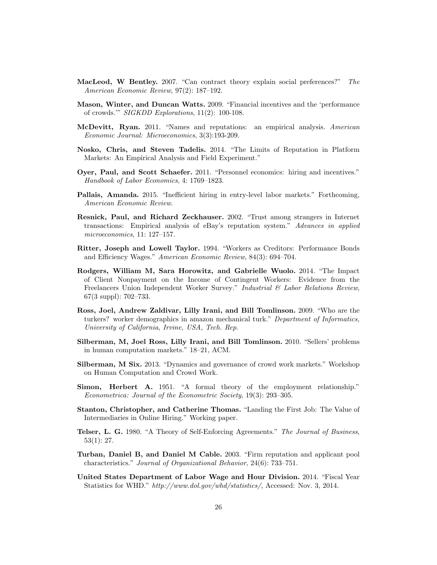- MacLeod, W Bentley. 2007. "Can contract theory explain social preferences?" The American Economic Review, 97(2): 187–192.
- Mason, Winter, and Duncan Watts. 2009. "Financial incentives and the 'performance of crowds.'" SIGKDD Explorations, 11(2): 100-108.
- McDevitt, Ryan. 2011. "Names and reputations: an empirical analysis. American Economic Journal: Microeconomics, 3(3):193-209.
- Nosko, Chris, and Steven Tadelis. 2014. "The Limits of Reputation in Platform Markets: An Empirical Analysis and Field Experiment."
- Oyer, Paul, and Scott Schaefer. 2011. "Personnel economics: hiring and incentives." Handbook of Labor Economics, 4: 1769–1823.
- Pallais, Amanda. 2015. "Inefficient hiring in entry-level labor markets." Forthcoming, American Economic Review.
- Resnick, Paul, and Richard Zeckhauser. 2002. "Trust among strangers in Internet transactions: Empirical analysis of eBay's reputation system." Advances in applied microeconomics, 11: 127–157.
- Ritter, Joseph and Lowell Taylor. 1994. "Workers as Creditors: Performance Bonds and Efficiency Wages." American Economic Review, 84(3): 694–704.
- Rodgers, William M, Sara Horowitz, and Gabrielle Wuolo. 2014. "The Impact of Client Nonpayment on the Income of Contingent Workers: Evidence from the Freelancers Union Independent Worker Survey." Industrial & Labor Relations Review, 67(3 suppl): 702–733.
- Ross, Joel, Andrew Zaldivar, Lilly Irani, and Bill Tomlinson. 2009. "Who are the turkers? worker demographics in amazon mechanical turk." Department of Informatics, University of California, Irvine, USA, Tech. Rep.
- Silberman, M, Joel Ross, Lilly Irani, and Bill Tomlinson. 2010. "Sellers' problems in human computation markets." 18–21, ACM.
- Silberman, M Six. 2013. "Dynamics and governance of crowd work markets." Workshop on Human Computation and Crowd Work.
- Simon, Herbert A. 1951. "A formal theory of the employment relationship." Econometrica: Journal of the Econometric Society, 19(3): 293–305.
- Stanton, Christopher, and Catherine Thomas. "Landing the First Job: The Value of Intermediaries in Online Hiring." Working paper.
- Telser, L. G. 1980. "A Theory of Self-Enforcing Agreements." The Journal of Business, 53(1): 27.
- Turban, Daniel B, and Daniel M Cable. 2003. "Firm reputation and applicant pool characteristics." Journal of Organizational Behavior, 24(6): 733–751.
- United States Department of Labor Wage and Hour Division. 2014. "Fiscal Year Statistics for WHD." http://www.dol.gov/whd/statistics/, Accessed: Nov. 3, 2014.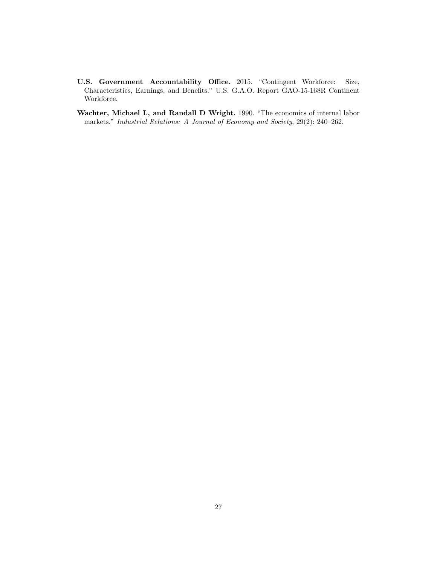- U.S. Government Accountability Office. 2015. "Contingent Workforce: Size, Characteristics, Earnings, and Benefits." U.S. G.A.O. Report GAO-15-168R Continent Workforce.
- Wachter, Michael L, and Randall D Wright. 1990. "The economics of internal labor markets." Industrial Relations: A Journal of Economy and Society, 29(2): 240–262.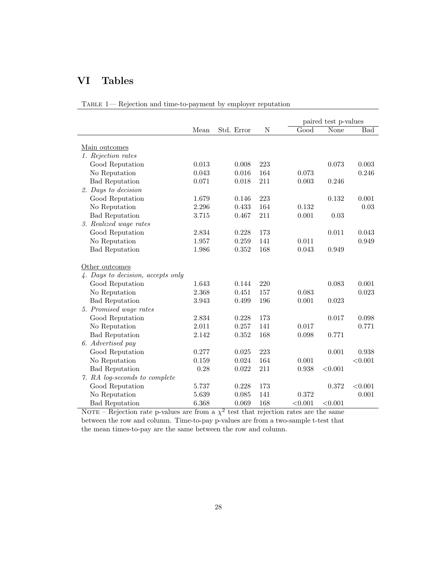## VI Tables

|                                   |       |            |     |         | paired test p-values |            |
|-----------------------------------|-------|------------|-----|---------|----------------------|------------|
|                                   | Mean  | Std. Error | N   | Good    | <b>None</b>          | <b>Bad</b> |
|                                   |       |            |     |         |                      |            |
| Main outcomes                     |       |            |     |         |                      |            |
| 1. Rejection rates                |       |            |     |         |                      |            |
| Good Reputation                   | 0.013 | 0.008      | 223 |         | 0.073                | 0.003      |
| No Reputation                     | 0.043 | 0.016      | 164 | 0.073   |                      | 0.246      |
| <b>Bad Reputation</b>             | 0.071 | 0.018      | 211 | 0.003   | 0.246                |            |
| 2. Days to decision               |       |            |     |         |                      |            |
| Good Reputation                   | 1.679 | 0.146      | 223 |         | 0.132                | 0.001      |
| No Reputation                     | 2.296 | 0.433      | 164 | 0.132   |                      | 0.03       |
| <b>Bad Reputation</b>             | 3.715 | 0.467      | 211 | 0.001   | 0.03                 |            |
| 3. Realized wage rates            |       |            |     |         |                      |            |
| Good Reputation                   | 2.834 | 0.228      | 173 |         | 0.011                | 0.043      |
| No Reputation                     | 1.957 | 0.259      | 141 | 0.011   |                      | 0.949      |
| <b>Bad Reputation</b>             | 1.986 | 0.352      | 168 | 0.043   | 0.949                |            |
|                                   |       |            |     |         |                      |            |
| Other outcomes                    |       |            |     |         |                      |            |
| 4. Days to decision, accepts only |       |            |     |         |                      |            |
| Good Reputation                   | 1.643 | 0.144      | 220 |         | 0.083                | 0.001      |
| No Reputation                     | 2.368 | 0.451      | 157 | 0.083   |                      | 0.023      |
| <b>Bad Reputation</b>             | 3.943 | 0.499      | 196 | 0.001   | 0.023                |            |
| 5. Promised wage rates            |       |            |     |         |                      |            |
| Good Reputation                   | 2.834 | 0.228      | 173 |         | 0.017                | 0.098      |
| No Reputation                     | 2.011 | 0.257      | 141 | 0.017   |                      | 0.771      |
| <b>Bad Reputation</b>             | 2.142 | 0.352      | 168 | 0.098   | 0.771                |            |
| 6. Advertised pay                 |       |            |     |         |                      |            |
| Good Reputation                   | 0.277 | 0.025      | 223 |         | 0.001                | 0.938      |
| No Reputation                     | 0.159 | 0.024      | 164 | 0.001   |                      | < 0.001    |
| <b>Bad Reputation</b>             | 0.28  | 0.022      | 211 | 0.938   | < 0.001              |            |
| 7. RA log-seconds to complete     |       |            |     |         |                      |            |
| Good Reputation                   | 5.737 | 0.228      | 173 |         | 0.372                | < 0.001    |
| No Reputation                     | 5.639 | 0.085      | 141 | 0.372   |                      | 0.001      |
| <b>Bad Reputation</b>             | 6.368 | 0.069      | 168 | < 0.001 | < 0.001              |            |

Table 1— Rejection and time-to-payment by employer reputation

NOTE – Rejection rate p-values are from a  $\chi^2$  test that rejection rates are the same between the row and column. Time-to-pay p-values are from a two-sample t-test that the mean times-to-pay are the same between the row and column.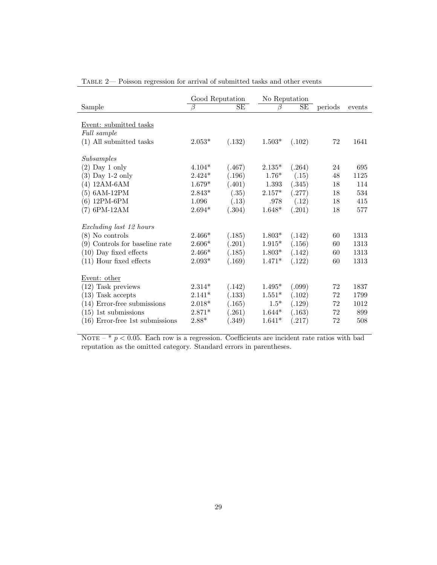|                                   | Good Reputation |        | No Reputation |        |         |        |
|-----------------------------------|-----------------|--------|---------------|--------|---------|--------|
| Sample                            | β               | SE     | B             | SE     | periods | events |
|                                   |                 |        |               |        |         |        |
| Event: submitted tasks            |                 |        |               |        |         |        |
| <i>Full sample</i>                |                 |        |               |        |         |        |
| $(1)$ All submitted tasks         | $2.053*$        | (.132) | $1.503*$      | (.102) | 72      | 1641   |
| Subsamples                        |                 |        |               |        |         |        |
| $(2)$ Day 1 only                  | $4.104*$        | (.467) | $2.135*$      | (.264) | 24      | 695    |
| $(3)$ Day 1-2 only                | $2.424*$        | (.196) | $1.76*$       | (.15)  | 48      | 1125   |
| $(4)$ 12AM-6AM                    | $1.679*$        | (.401) | 1.393         | (.345) | 18      | 114    |
| $6AM-12PM$<br>(5)                 | $2.843*$        | (.35)  | $2.157*$      | (.277) | 18      | 534    |
| $(6)$ 12PM-6PM                    | 1.096           | (.13)  | .978          | (.12)  | 18      | 415    |
| 6PM-12AM<br>(7)                   | $2.694*$        | (.304) | $1.648*$      | (.201) | 18      | 577    |
|                                   |                 |        |               |        |         |        |
| <i>Excluding last 12 hours</i>    |                 |        |               |        |         |        |
| (8) No controls                   | $2.466*$        | (.185) | $1.803*$      | (.142) | 60      | 1313   |
| (9) Controls for baseline rate    | $2.606*$        | (.201) | $1.915*$      | (.156) | 60      | 1313   |
| $(10)$ Day fixed effects          | $2.466*$        | (.185) | $1.803*$      | (.142) | 60      | 1313   |
| $(11)$ Hour fixed effects         | $2.093*$        | (.169) | $1.471*$      | (.122) | 60      | 1313   |
| Event: other                      |                 |        |               |        |         |        |
| $(12)$ Task previews              | $2.314*$        | (.142) | $1.495*$      | (.099) | 72      | 1837   |
| $(13)$ Task accepts               | $2.141*$        | (.133) | $1.551*$      | (.102) | 72      | 1799   |
| (14) Error-free submissions       | $2.018^{\ast}$  | (.165) | $1.5*$        | (.129) | 72      | 1012   |
| $(15)$ 1st submissions            | $2.871*$        | (.261) | $1.644*$      | (.163) | 72      | 899    |
|                                   | $2.88*$         |        | $1.641*$      |        | 72      |        |
| $(16)$ Error-free 1st submissions |                 | (.349) |               | (.217) |         | 508    |

TABLE 2— Poisson regression for arrival of submitted tasks and other events

NOTE – \*  $p < 0.05$ . Each row is a regression. Coefficients are incident rate ratios with bad reputation as the omitted category. Standard errors in parentheses.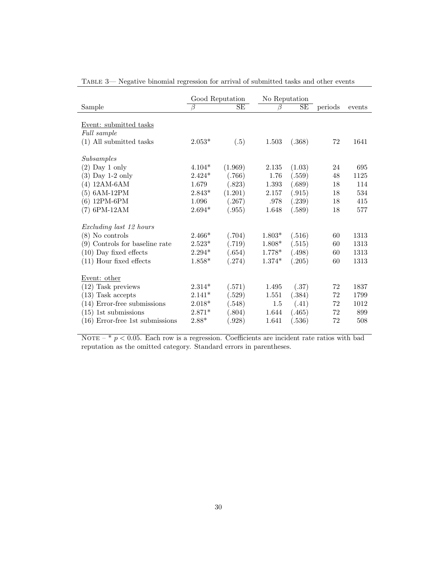|                                              | Good Reputation |                        | No Reputation |        |         |        |
|----------------------------------------------|-----------------|------------------------|---------------|--------|---------|--------|
| Sample                                       | ß               | $\overline{\text{SE}}$ | ß             | SE     | periods | events |
|                                              |                 |                        |               |        |         |        |
| Event: submitted tasks                       |                 |                        |               |        |         |        |
| <i>Full sample</i>                           |                 |                        |               |        |         |        |
| $(1)$ All submitted tasks                    | $2.053*$        | (.5)                   | 1.503         | (.368) | 72      | 1641   |
| Subsamples                                   |                 |                        |               |        |         |        |
| $(2)$ Day 1 only                             | $4.104*$        | (1.969)                | 2.135         | (1.03) | 24      | 695    |
| $(3)$ Day 1-2 only                           | $2.424*$        | (.766)                 | 1.76          | (.559) | 48      | 1125   |
| $(4)$ 12AM-6AM                               | 1.679           | (.823)                 | 1.393         | (.689) | 18      | 114    |
| $(5)$ 6AM-12PM                               | $2.843*$        | (1.201)                | 2.157         | (.915) | 18      | 534    |
| $(6)$ 12PM-6PM                               | 1.096           | (.267)                 | .978          | (.239) | 18      | 415    |
| 6PM-12AM<br>(7)                              | $2.694*$        | (.955)                 | 1.648         | (.589) | 18      | 577    |
|                                              |                 |                        |               |        |         |        |
| Excluding last 12 hours<br>$(8)$ No controls | $2.466*$        | (.704)                 | $1.803*$      | (.516) | 60      | 1313   |
| (9) Controls for baseline rate               | $2.523*$        | (.719)                 | 1.808*        |        | 60      | 1313   |
| $(10)$ Day fixed effects                     | $2.294*$        | (.654)                 | 1.778*        | (.515) | 60      |        |
|                                              |                 |                        |               | (.498) |         | 1313   |
| $(11)$ Hour fixed effects                    | $1.858*$        | (.274)                 | $1.374*$      | (.205) | 60      | 1313   |
| Event: other                                 |                 |                        |               |        |         |        |
| $(12)$ Task previews                         | $2.314*$        | (.571)                 | 1.495         | (.37)  | 72      | 1837   |
| $(13)$ Task accepts                          | $2.141*$        | (.529)                 | 1.551         | (.384) | 72      | 1799   |
| (14) Error-free submissions                  | $2.018*$        | (.548)                 | 1.5           | (.41)  | 72      | 1012   |
| $(15)$ 1st submissions                       | $2.871*$        | (.804)                 | 1.644         | (.465) | 72      | 899    |
| $(16)$ Error-free 1st submissions            | $2.88*$         | (.928)                 | 1.641         | (.536) | 72      | 508    |
|                                              |                 |                        |               |        |         |        |

TABLE 3— Negative binomial regression for arrival of submitted tasks and other events

NOTE – \*  $p < 0.05$ . Each row is a regression. Coefficients are incident rate ratios with bad reputation as the omitted category. Standard errors in parentheses.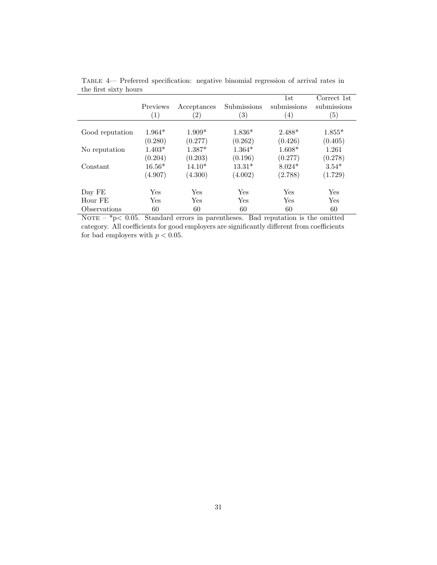| ence more prefixed |                   |                   |                   |                  |                   |
|--------------------|-------------------|-------------------|-------------------|------------------|-------------------|
|                    |                   |                   |                   | 1st              | Correct 1st       |
|                    | Previews          | Acceptances       | Submissions       | submissions      | submissions       |
|                    | $\left( 1\right)$ | $\left( 2\right)$ | $\left( 3\right)$ | $\left(4\right)$ | $\left( 5\right)$ |
|                    |                   |                   |                   |                  |                   |
| Good reputation    | $1.964*$          | $1.909*$          | $1.836*$          | $2.488*$         | $1.855*$          |
|                    | (0.280)           | (0.277)           | (0.262)           | (0.426)          | (0.405)           |
| No reputation      | $1.403*$          | $1.387*$          | $1.364*$          | $1.608*$         | 1.261             |
|                    | (0.204)           | (0.203)           | (0.196)           | (0.277)          | (0.278)           |
| Constant           | $16.56*$          | $14.10*$          | $13.31*$          | $8.024*$         | $3.54*$           |
|                    | (4.907)           | (4.300)           | (4.002)           | (2.788)          | (1.729)           |
| Day FE             | Yes               | Yes               | Yes               | Yes              | Yes               |
| Hour FE            | <b>Yes</b>        | Yes               | Yes               | Yes              | Yes               |
| Observations       | 60                | 60                | 60                | 60               | 60                |

Table 4— Preferred specification: negative binomial regression of arrival rates in the first sixty hours

NOTE –  $\rm *p<0.05$ . Standard errors in parentheses. Bad reputation is the omitted category. All coefficients for good employers are significantly different from coefficients for bad employers with  $p<0.05.$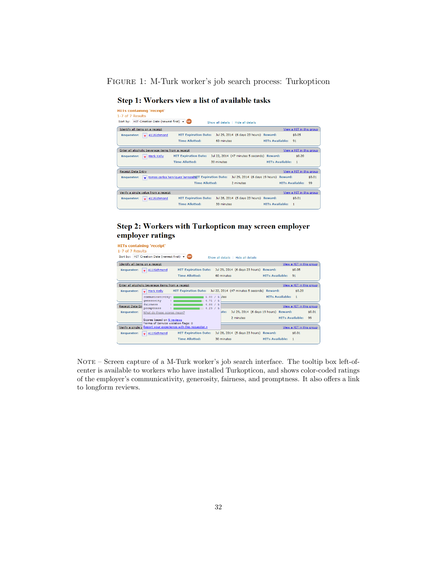Figure 1: M-Turk worker's job search process: Turkopticon

Step 1: Workers view a list of available tasks

| <b>HIIs containing 'receipt'</b>                  |                                                     |                                             |                                        |                          |        |
|---------------------------------------------------|-----------------------------------------------------|---------------------------------------------|----------------------------------------|--------------------------|--------|
| 1-7 of 7 Results                                  |                                                     |                                             |                                        |                          |        |
| Sort by: HIT Creation Date (newest first) v 601   |                                                     | Show all details   Hide all details         |                                        |                          |        |
| Identify all items on a receipt                   |                                                     |                                             |                                        | View a HIT in this group |        |
| 411Richmond<br><b>Requester:</b><br>$\mathbf{r}$  | <b>HIT Expiration Date:</b>                         | Jul 29, 2014 (6 days 23 hours) Reward:      |                                        | \$0.05                   |        |
|                                                   | <b>Time Allotted:</b>                               | 60 minutes                                  | <b>HITs Available:</b>                 | 91                       |        |
| Enter all alcoholic beverage items from a receipt |                                                     |                                             |                                        | View a HIT in this group |        |
| $\mathbf{v}$ Mark Kelly<br><b>Requester:</b>      | <b>HIT Expiration Date:</b>                         | Jul 22, 2014 (47 minutes 5 seconds) Reward: |                                        | \$0.20                   |        |
|                                                   | <b>Time Allotted:</b>                               | 30 minutes                                  | <b>HITs Available:</b>                 | 1                        |        |
| <b>Receipt Data Entry</b>                         |                                                     |                                             |                                        | View a HIT in this group |        |
| <b>Requester:</b>                                 | tomas carlos henriquez larrazabaIT Expiration Date: |                                             | Jul 29, 2014 (6 days 19 hours) Reward: |                          | \$0.01 |
|                                                   | <b>Time Allotted:</b>                               | 2 minutes                                   |                                        | <b>HITs Available:</b>   | 99     |
| Verify a single value from a receipt              |                                                     |                                             |                                        | View a HIT in this group |        |
| $\frac{1}{2}$ 411Richmond<br><b>Requester:</b>    | <b>HIT Expiration Date:</b>                         | Jul 28, 2014 (5 days 23 hours) Reward:      |                                        | \$0.01                   |        |
|                                                   | <b>Time Allotted:</b>                               | 30 minutes                                  | <b>HTTs Available:</b>                 | 1                        |        |

#### Step 2: Workers with Turkopticon may screen employer employer ratings



NOTE – Screen capture of a M-Turk worker's job search interface. The tooltip box left-ofcenter is available to workers who have installed Turkopticon, and shows color-coded ratings of the employer's communicativity, generosity, fairness, and promptness. It also offers a link to longform reviews.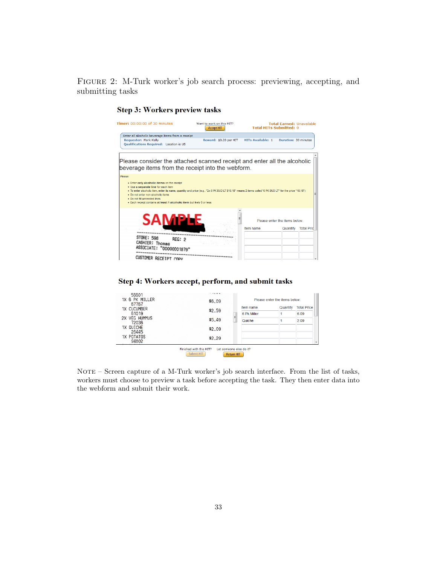Figure 2: M-Turk worker's job search process: previewing, accepting, and submitting tasks

#### **Step 3: Workers preview tasks**

| Reward: \$0.20 per HIT<br>beverage items from the receipt into the webform. | <b>HTTs Available: 1</b><br>Please consider the attached scanned receipt and enter all the alcoholic | Duration: 30 minutes                                                                                                                                                                                 |
|-----------------------------------------------------------------------------|------------------------------------------------------------------------------------------------------|------------------------------------------------------------------------------------------------------------------------------------------------------------------------------------------------------|
|                                                                             |                                                                                                      |                                                                                                                                                                                                      |
|                                                                             |                                                                                                      |                                                                                                                                                                                                      |
| . Each receipt contains at least 1 alcoholic item but likely 5 or less      |                                                                                                      |                                                                                                                                                                                                      |
|                                                                             | Item name                                                                                            | <b>Total Pric</b>                                                                                                                                                                                    |
|                                                                             |                                                                                                      |                                                                                                                                                                                                      |
|                                                                             |                                                                                                      | . To enter alcoholic item, enter its name, quantity and price (e.g., "2x 6 PK BUD LT \$18.18" means 2 items called "6 PK BUD LT" for the price "18.18")<br>Please enter the items below:<br>Quantity |

Step 4: Workers accept, perform, and submit tasks

| 56601<br>1X 6 PK MILLER     | .<br>\$6.09                                                                           |             | Please enter the items below: |                    |  |
|-----------------------------|---------------------------------------------------------------------------------------|-------------|-------------------------------|--------------------|--|
| 67767<br><b>1X CUCUMBER</b> |                                                                                       | Item name   | Quantity                      | <b>Total Price</b> |  |
| 61019                       | \$2,59                                                                                | 6 Pk Miller |                               | 6.09               |  |
| 2X VEG HUMMUS<br>72036      | Ξ<br>\$5.49                                                                           | Quiche      |                               | 2.09               |  |
| QUICHE<br>1Х.<br>26445      | \$2,09                                                                                |             |                               |                    |  |
| <b>1X POTATOS</b><br>94802  | \$2.29                                                                                |             |                               |                    |  |
|                             | Finished with this HIT?<br>Let someone else do it?<br>Submit HIT<br><b>Return HIT</b> |             |                               |                    |  |

NOTE – Screen capture of a M-Turk worker's job search interface. From the list of tasks, workers must choose to preview a task before accepting the task. They then enter data into the webform and submit their work.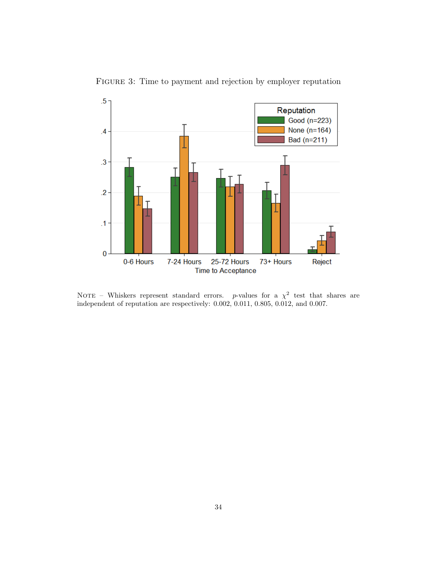

FIGURE 3: Time to payment and rejection by employer reputation

NOTE – Whiskers represent standard errors. p-values for a  $\chi^2$  test that shares are independent of reputation are respectively: 0.002, 0.011, 0.805, 0.012, and 0.007.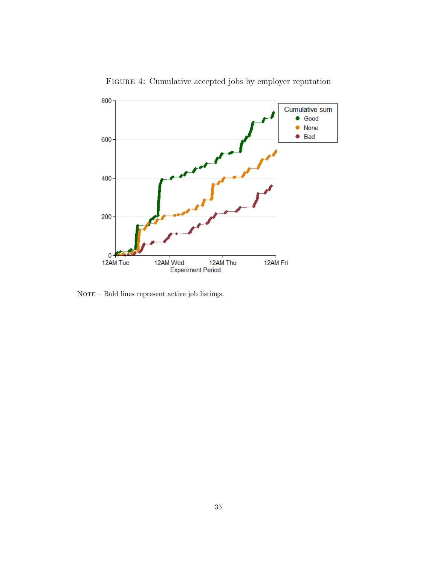

FIGURE 4: Cumulative accepted jobs by employer reputation

 $NOTE - Bold$  lines represent active job listings.